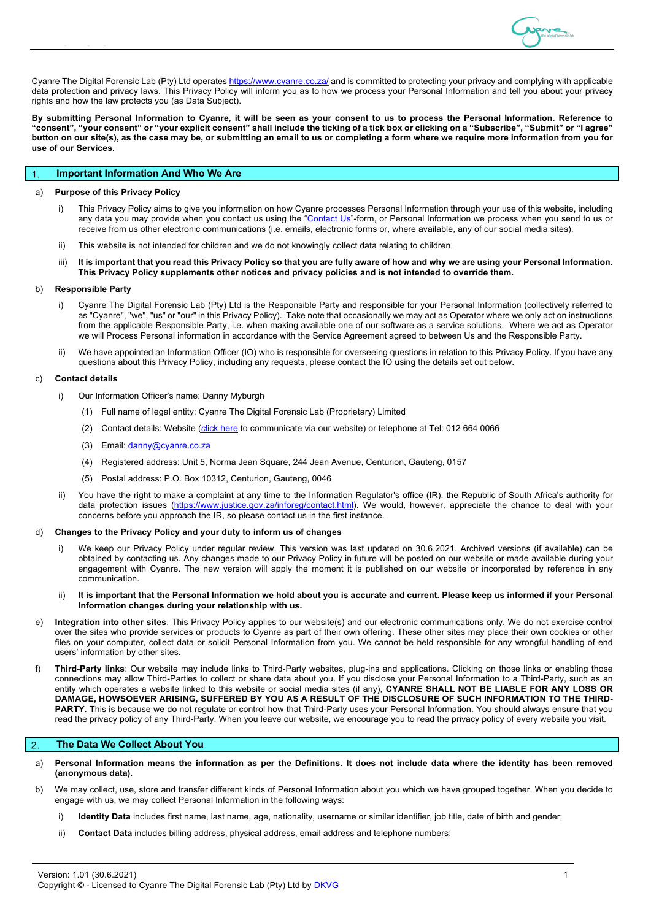

Cyanre The Digital Forensic Lab (Pty) Ltd operates https://www.cyanre.co.za/ and is committed to protecting your privacy and complying with applicable data protection and privacy laws. This Privacy Policy will inform you as to how we process your Personal Information and tell you about your privacy rights and how the law protects you (as Data Subject).

**By submitting Personal Information to Cyanre, it will be seen as your consent to us to process the Personal Information. Reference to "consent", "your consent" or "your explicit consent" shall include the ticking of a tick box or clicking on a "Subscribe", "Submit" or "I agree" button on our site(s), as the case may be, or submitting an email to us or completing a form where we require more information from you for use of our Services.**

# **Important Information And Who We Are**

## a) **Purpose of this Privacy Policy**

- i) This Privacy Policy aims to give you information on how Cyanre processes Personal Information through your use of this website, including any data you may provide when you contact us using the "Contact Us"-form, or Personal Information we process when you send to us or receive from us other electronic communications (i.e. emails, electronic forms or, where available, any of our social media sites).
- ii) This website is not intended for children and we do not knowingly collect data relating to children.
- iii) **It is important that you read this Privacy Policy so that you are fully aware of how and why we are using your Personal Information. This Privacy Policy supplements other notices and privacy policies and is not intended to override them.**

## b) **Responsible Party**

- i) Cyanre The Digital Forensic Lab (Pty) Ltd is the Responsible Party and responsible for your Personal Information (collectively referred to as "Cyanre", "we", "us" or "our" in this Privacy Policy). Take note that occasionally we may act as Operator where we only act on instructions from the applicable Responsible Party, i.e. when making available one of our software as a service solutions. Where we act as Operator we will Process Personal information in accordance with the Service Agreement agreed to between Us and the Responsible Party.
- We have appointed an Information Officer (IO) who is responsible for overseeing questions in relation to this Privacy Policy. If you have any questions about this Privacy Policy, including any requests, please contact the IO using the details set out below.

# c) **Contact details**

- i) Our Information Officer's name: Danny Myburgh
	- (1) Full name of legal entity: Cyanre The Digital Forensic Lab (Proprietary) Limited
	- (2) Contact details: Website (*c*lick here to communicate via our website) or telephone at Tel: 012 664 0066
	- (3) Email: danny@cyanre.co.za
	- (4) Registered address: Unit 5, Norma Jean Square, 244 Jean Avenue, Centurion, Gauteng, 0157
	- (5) Postal address: P.O. Box 10312, Centurion, Gauteng, 0046
- ii) You have the right to make a complaint at any time to the Information Regulator's office (IR), the Republic of South Africa's authority for data protection issues (https://www.justice.gov.za/inforeg/contact.html). We would, however, appreciate the chance to deal with your concerns before you approach the IR, so please contact us in the first instance.

## d) **Changes to the Privacy Policy and your duty to inform us of changes**

- i) We keep our Privacy Policy under regular review. This version was last updated on 30.6.2021. Archived versions (if available) can be obtained by contacting us. Any changes made to our Privacy Policy in future will be posted on our website or made available during your engagement with Cyanre. The new version will apply the moment it is published on our website or incorporated by reference in any communication.
- ii) **It is important that the Personal Information we hold about you is accurate and current. Please keep us informed if your Personal Information changes during your relationship with us.**
- e) **Integration into other sites**: This Privacy Policy applies to our website(s) and our electronic communications only. We do not exercise control over the sites who provide services or products to Cyanre as part of their own offering. These other sites may place their own cookies or other files on your computer, collect data or solicit Personal Information from you. We cannot be held responsible for any wrongful handling of end users' information by other sites.
- f) **Third-Party links**: Our website may include links to Third-Party websites, plug-ins and applications. Clicking on those links or enabling those connections may allow Third-Parties to collect or share data about you. If you disclose your Personal Information to a Third-Party, such as an entity which operates a website linked to this website or social media sites (if any), **CYANRE SHALL NOT BE LIABLE FOR ANY LOSS OR DAMAGE, HOWSOEVER ARISING, SUFFERED BY YOU AS A RESULT OF THE DISCLOSURE OF SUCH INFORMATION TO THE THIRD-**PARTY. This is because we do not regulate or control how that Third-Party uses your Personal Information. You should always ensure that you read the privacy policy of any Third-Party. When you leave our website, we encourage you to read the privacy policy of every website you visit.

### $\overline{2}$ . **The Data We Collect About You**

- a) **Personal Information means the information as per the Definitions. It does not include data where the identity has been removed (anonymous data).**
- b) We may collect, use, store and transfer different kinds of Personal Information about you which we have grouped together. When you decide to engage with us, we may collect Personal Information in the following ways:
	- i) **Identity Data** includes first name, last name, age, nationality, username or similar identifier, job title, date of birth and gender;
	- ii) **Contact Data** includes billing address, physical address, email address and telephone numbers;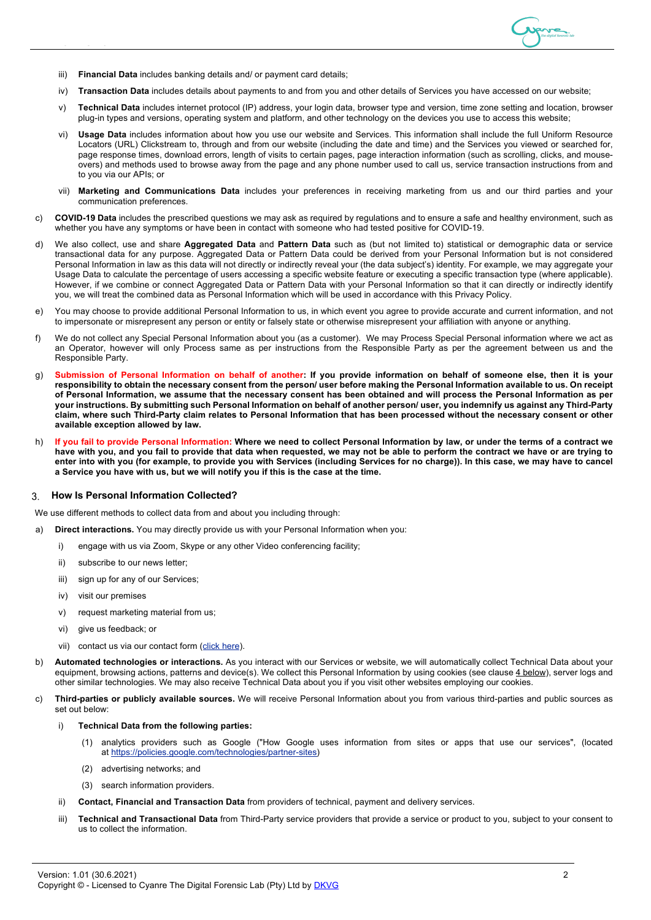

- iii) **Financial Data** includes banking details and/ or payment card details;
- iv) **Transaction Data** includes details about payments to and from you and other details of Services you have accessed on our website;
- v) **Technical Data** includes internet protocol (IP) address, your login data, browser type and version, time zone setting and location, browser plug-in types and versions, operating system and platform, and other technology on the devices you use to access this website;
- vi) **Usage Data** includes information about how you use our website and Services. This information shall include the full Uniform Resource Locators (URL) Clickstream to, through and from our website (including the date and time) and the Services you viewed or searched for, page response times, download errors, length of visits to certain pages, page interaction information (such as scrolling, clicks, and mouseovers) and methods used to browse away from the page and any phone number used to call us, service transaction instructions from and to you via our APIs; or
- vii) **Marketing and Communications Data** includes your preferences in receiving marketing from us and our third parties and your communication preferences.
- c) **COVID-19 Data** includes the prescribed questions we may ask as required by regulations and to ensure a safe and healthy environment, such as whether you have any symptoms or have been in contact with someone who had tested positive for COVID-19.
- d) We also collect, use and share **Aggregated Data** and **Pattern Data** such as (but not limited to) statistical or demographic data or service transactional data for any purpose. Aggregated Data or Pattern Data could be derived from your Personal Information but is not considered Personal Information in law as this data will not directly or indirectly reveal your (the data subject's) identity. For example, we may aggregate your Usage Data to calculate the percentage of users accessing a specific website feature or executing a specific transaction type (where applicable). However, if we combine or connect Aggregated Data or Pattern Data with your Personal Information so that it can directly or indirectly identify you, we will treat the combined data as Personal Information which will be used in accordance with this Privacy Policy.
- e) You may choose to provide additional Personal Information to us, in which event you agree to provide accurate and current information, and not to impersonate or misrepresent any person or entity or falsely state or otherwise misrepresent your affiliation with anyone or anything.
- f) We do not collect any Special Personal Information about you (as a customer). We may Process Special Personal information where we act as an Operator, however will only Process same as per instructions from the Responsible Party as per the agreement between us and the Responsible Party.
- g) **Submission of Personal Information on behalf of another: If you provide information on behalf of someone else, then it is your responsibility to obtain the necessary consent from the person/ user before making the Personal Information available to us. On receipt of Personal Information, we assume that the necessary consent has been obtained and will process the Personal Information as per your instructions. By submitting such Personal Information on behalf of another person/ user, you indemnify us against any Third-Party claim, where such Third-Party claim relates to Personal Information that has been processed without the necessary consent or other available exception allowed by law.**
- h) **If you fail to provide Personal Information: Where we need to collect Personal Information by law, or under the terms of a contract we have with you, and you fail to provide that data when requested, we may not be able to perform the contract we have or are trying to enter into with you (for example, to provide you with Services (including Services for no charge)). In this case, we may have to cancel a Service you have with us, but we will notify you if this is the case at the time.**

### **How Is Personal Information Collected?** 3.

We use different methods to collect data from and about you including through:

- a) **Direct interactions.** You may directly provide us with your Personal Information when you:
	- i) engage with us via Zoom, Skype or any other Video conferencing facility;
	- ii) subscribe to our news letter;
	- iii) sign up for any of our Services;
	- iv) visit our premises
	- v) request marketing material from us;
	- vi) give us feedback; or
	- vii) contact us via our contact form (click here).
- b) **Automated technologies or interactions.** As you interact with our Services or website, we will automatically collect Technical Data about your equipment, browsing actions, patterns and device(s). We collect this Personal Information by using cookies (see clause 4 below), server logs and other similar technologies. We may also receive Technical Data about you if you visit other websites employing our cookies.
- c) **Third-parties or publicly available sources.** We will receive Personal Information about you from various third-parties and public sources as set out below:
	- i) **Technical Data from the following parties:**
		- (1) analytics providers such as Google ("How Google uses information from sites or apps that use our services", (located at https://policies.google.com/technologies/partner-sites)
		- (2) advertising networks; and
		- (3) search information providers.
	- ii) **Contact, Financial and Transaction Data** from providers of technical, payment and delivery services.
	- iii) **Technical and Transactional Data** from Third-Party service providers that provide a service or product to you, subject to your consent to us to collect the information.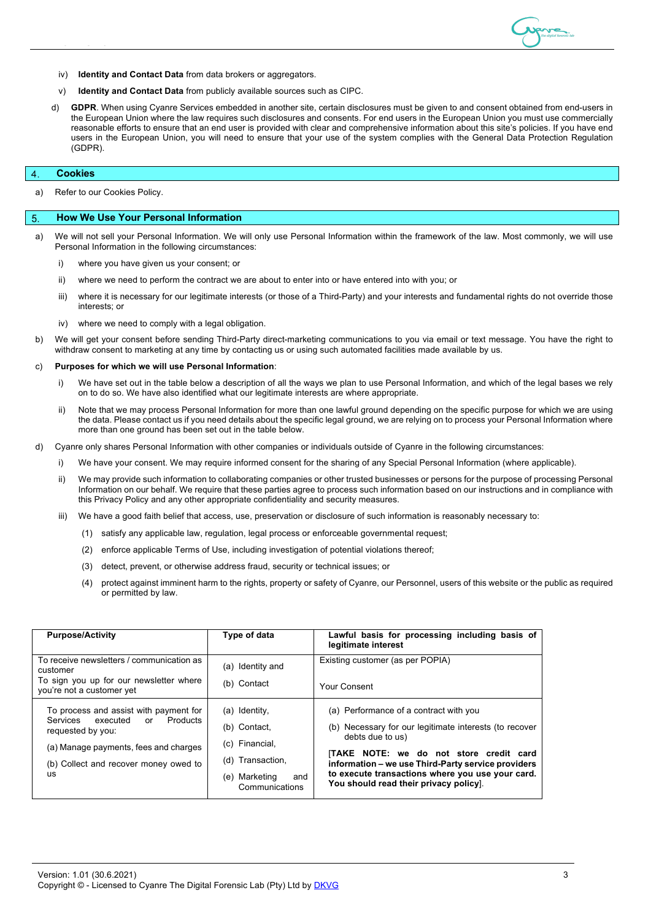

- iv) **Identity and Contact Data** from data brokers or aggregators.
- v) **Identity and Contact Data** from publicly available sources such as CIPC.
- d) **GDPR**. When using Cyanre Services embedded in another site, certain disclosures must be given to and consent obtained from end-users in the European Union where the law requires such disclosures and consents. For end users in the European Union you must use commercially reasonable efforts to ensure that an end user is provided with clear and comprehensive information about this site's policies. If you have end users in the European Union, you will need to ensure that your use of the system complies with the General Data Protection Regulation (GDPR).

### **Cookies**  $\overline{4}$

a) Refer to our Cookies Policy.

### **How We Use Your Personal Information** 5

- a) We will not sell your Personal Information. We will only use Personal Information within the framework of the law. Most commonly, we will use Personal Information in the following circumstances:
	- i) where you have given us your consent; or
	- ii) where we need to perform the contract we are about to enter into or have entered into with you; or
	- iii) where it is necessary for our legitimate interests (or those of a Third-Party) and your interests and fundamental rights do not override those interests; or
	- iv) where we need to comply with a legal obligation.
- b) We will get your consent before sending Third-Party direct-marketing communications to you via email or text message. You have the right to withdraw consent to marketing at any time by contacting us or using such automated facilities made available by us.

### c) **Purposes for which we will use Personal Information**:

- i) We have set out in the table below a description of all the ways we plan to use Personal Information, and which of the legal bases we rely on to do so. We have also identified what our legitimate interests are where appropriate.
- ii) Note that we may process Personal Information for more than one lawful ground depending on the specific purpose for which we are using the data. Please contact us if you need details about the specific legal ground, we are relying on to process your Personal Information where more than one ground has been set out in the table below.
- d) Cyanre only shares Personal Information with other companies or individuals outside of Cyanre in the following circumstances:
	- i) We have your consent. We may require informed consent for the sharing of any Special Personal Information (where applicable).
	- ii) We may provide such information to collaborating companies or other trusted businesses or persons for the purpose of processing Personal Information on our behalf. We require that these parties agree to process such information based on our instructions and in compliance with this Privacy Policy and any other appropriate confidentiality and security measures.
	- iii) We have a good faith belief that access, use, preservation or disclosure of such information is reasonably necessary to:
		- (1) satisfy any applicable law, regulation, legal process or enforceable governmental request;
		- (2) enforce applicable Terms of Use, including investigation of potential violations thereof;
		- (3) detect, prevent, or otherwise address fraud, security or technical issues; or
		- (4) protect against imminent harm to the rights, property or safety of Cyanre, our Personnel, users of this website or the public as required or permitted by law.

| <b>Purpose/Activity</b>                                                                          | Type of data                           | Lawful basis for processing including basis of<br>legitimate interest                     |
|--------------------------------------------------------------------------------------------------|----------------------------------------|-------------------------------------------------------------------------------------------|
| To receive newsletters / communication as<br>customer<br>To sign you up for our newsletter where | (a) Identity and                       | Existing customer (as per POPIA)                                                          |
| you're not a customer yet                                                                        | (b) Contact                            | Your Consent                                                                              |
| To process and assist with payment for                                                           | (a) Identity,                          | (a) Performance of a contract with you                                                    |
| executed<br>Products<br><b>Services</b><br>or<br>requested by you:                               | (b) Contact.                           | (b) Necessary for our legitimate interests (to recover<br>debts due to us)                |
| (a) Manage payments, fees and charges                                                            | (c) Financial,                         | TAKE NOTE: we do not store credit card                                                    |
| (b) Collect and recover money owed to                                                            | (d) Transaction,                       | information – we use Third-Party service providers                                        |
| us                                                                                               | (e) Marketing<br>and<br>Communications | to execute transactions where you use your card.<br>You should read their privacy policy. |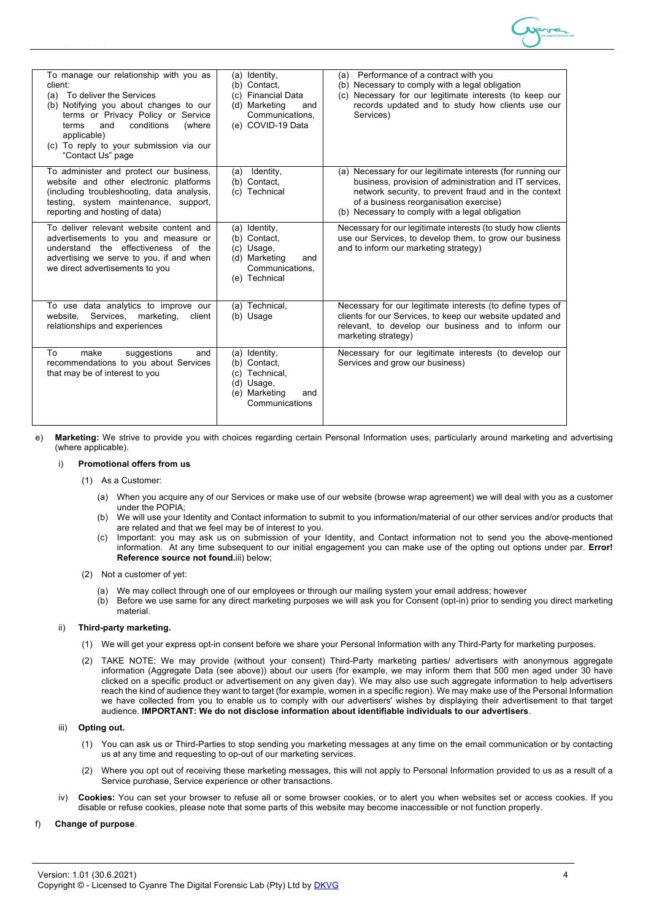

| To manage our relationship with you as<br>client:<br>(a) To deliver the Services<br>(b) Notifying you about changes to our<br>terms or Privacy Policy or Service<br>conditions<br>(where<br>terms<br>and<br>applicable)<br>(c) To reply to your submission via our<br>"Contact Us" page | (a) Identity,<br>(b) Contact.<br>(c) Financial Data<br>(d) Marketing<br>and<br>Communications,<br>(e) COVID-19 Data | Performance of a contract with you<br>(a)<br>(b) Necessary to comply with a legal obligation<br>Necessary for our legitimate interests (to keep our<br>(c)<br>records updated and to study how clients use our<br>Services)                                                 |
|-----------------------------------------------------------------------------------------------------------------------------------------------------------------------------------------------------------------------------------------------------------------------------------------|---------------------------------------------------------------------------------------------------------------------|-----------------------------------------------------------------------------------------------------------------------------------------------------------------------------------------------------------------------------------------------------------------------------|
| To administer and protect our business,<br>website and other electronic platforms<br>(including troubleshooting, data analysis,<br>testing, system maintenance, support,<br>reporting and hosting of data)                                                                              | Identity,<br>(a)<br>(b) Contact,<br>(c) Technical                                                                   | (a) Necessary for our legitimate interests (for running our<br>business, provision of administration and IT services,<br>network security, to prevent fraud and in the context<br>of a business reorganisation exercise)<br>(b) Necessary to comply with a legal obligation |
| To deliver relevant website content and<br>advertisements to you and measure or<br>understand the effectiveness of the<br>advertising we serve to you, if and when<br>we direct advertisements to you                                                                                   | (a) Identity,<br>(b) Contact,<br>(c) Usage,<br>(d) Marketing<br>and<br>Communications,<br>(e) Technical             | Necessary for our legitimate interests (to study how clients<br>use our Services, to develop them, to grow our business<br>and to inform our marketing strategy)                                                                                                            |
| To use data analytics to improve our<br>Services.<br>marketing,<br>website.<br>client<br>relationships and experiences                                                                                                                                                                  | (a) Technical,<br>(b) Usage                                                                                         | Necessary for our legitimate interests (to define types of<br>clients for our Services, to keep our website updated and<br>relevant, to develop our business and to inform our<br>marketing strategy)                                                                       |
| make<br>suggestions<br>To<br>and<br>recommendations to you about Services<br>that may be of interest to you                                                                                                                                                                             | (a) Identity,<br>(b) Contact.<br>(c) Technical,<br>(d) Usage,<br>Marketing<br>(e)<br>and<br>Communications          | Necessary for our legitimate interests (to develop our<br>Services and grow our business)                                                                                                                                                                                   |

e) **Marketing:** We strive to provide you with choices regarding certain Personal Information uses, particularly around marketing and advertising (where applicable).

# i) **Promotional offers from us**

- (1) As a Customer:
	- (a) When you acquire any of our Services or make use of our website (browse wrap agreement) we will deal with you as a customer under the POPIA;
	- (b) We will use your Identity and Contact information to submit to you information/material of our other services and/or products that are related and that we feel may be of interest to you.
	- (c) Important: you may ask us on submission of your Identity, and Contact information not to send you the above-mentioned information. At any time subsequent to our initial engagement you can make use of the opting out options under par. **Error! Reference source not found.**iii) below;

# (2) Not a customer of yet:

- We may collect through one of our employees or through our mailing system your email address; however
- (b) Before we use same for any direct marketing purposes we will ask you for Consent (opt-in) prior to sending you direct marketing material.

## ii) **Third-party marketing.**

- (1) We will get your express opt-in consent before we share your Personal Information with any Third-Party for marketing purposes.
- (2) TAKE NOTE: We may provide (without your consent) Third-Party marketing parties/ advertisers with anonymous aggregate information (Aggregate Data (see above)) about our users (for example, we may inform them that 500 men aged under 30 have clicked on a specific product or advertisement on any given day). We may also use such aggregate information to help advertisers reach the kind of audience they want to target (for example, women in a specific region). We may make use of the Personal Information we have collected from you to enable us to comply with our advertisers' wishes by displaying their advertisement to that target audience. **IMPORTANT: We do not disclose information about identifiable individuals to our advertisers**.

# iii) **Opting out.**

- (1) You can ask us or Third-Parties to stop sending you marketing messages at any time on the email communication or by contacting us at any time and requesting to op-out of our marketing services.
- (2) Where you opt out of receiving these marketing messages, this will not apply to Personal Information provided to us as a result of a Service purchase, Service experience or other transactions.
- iv) **Cookies:** You can set your browser to refuse all or some browser cookies, or to alert you when websites set or access cookies. If you disable or refuse cookies, please note that some parts of this website may become inaccessible or not function properly.

# f) **Change of purpose**.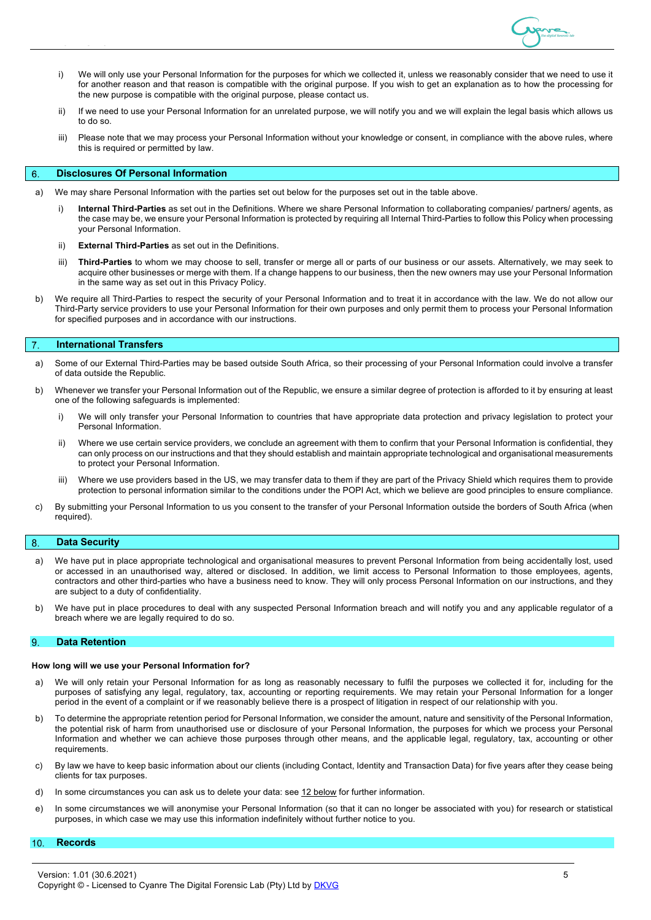

- i) We will only use your Personal Information for the purposes for which we collected it, unless we reasonably consider that we need to use it for another reason and that reason is compatible with the original purpose. If you wish to get an explanation as to how the processing for the new purpose is compatible with the original purpose, please contact us.
- ii) If we need to use your Personal Information for an unrelated purpose, we will notify you and we will explain the legal basis which allows us to do so.
- iii) Please note that we may process your Personal Information without your knowledge or consent, in compliance with the above rules, where this is required or permitted by law.

### **Disclosures Of Personal Information** 6

- a) We may share Personal Information with the parties set out below for the purposes set out in the table above.
	- i) **Internal Third-Parties** as set out in the Definitions. Where we share Personal Information to collaborating companies/ partners/ agents, as the case may be, we ensure your Personal Information is protected by requiring all Internal Third-Parties to follow this Policy when processing your Personal Information.
	- ii) **External Third-Parties** as set out in the Definitions.
	- iii) **Third-Parties** to whom we may choose to sell, transfer or merge all or parts of our business or our assets. Alternatively, we may seek to acquire other businesses or merge with them. If a change happens to our business, then the new owners may use your Personal Information in the same way as set out in this Privacy Policy.
- b) We require all Third-Parties to respect the security of your Personal Information and to treat it in accordance with the law. We do not allow our Third-Party service providers to use your Personal Information for their own purposes and only permit them to process your Personal Information for specified purposes and in accordance with our instructions.

### **International Transfers**  $\overline{7}$

- a) Some of our External Third-Parties may be based outside South Africa, so their processing of your Personal Information could involve a transfer of data outside the Republic.
- b) Whenever we transfer your Personal Information out of the Republic, we ensure a similar degree of protection is afforded to it by ensuring at least one of the following safeguards is implemented:
	- i) We will only transfer your Personal Information to countries that have appropriate data protection and privacy legislation to protect your Personal Information.
	- ii) Where we use certain service providers, we conclude an agreement with them to confirm that your Personal Information is confidential, they can only process on our instructions and that they should establish and maintain appropriate technological and organisational measurements to protect your Personal Information.
	- iii) Where we use providers based in the US, we may transfer data to them if they are part of the Privacy Shield which requires them to provide protection to personal information similar to the conditions under the POPI Act, which we believe are good principles to ensure compliance.
- c) By submitting your Personal Information to us you consent to the transfer of your Personal Information outside the borders of South Africa (when required).

### 8 **Data Security**

- a) We have put in place appropriate technological and organisational measures to prevent Personal Information from being accidentally lost, used or accessed in an unauthorised way, altered or disclosed. In addition, we limit access to Personal Information to those employees, agents, contractors and other third-parties who have a business need to know. They will only process Personal Information on our instructions, and they are subject to a duty of confidentiality.
- b) We have put in place procedures to deal with any suspected Personal Information breach and will notify you and any applicable regulator of a breach where we are legally required to do so.

### 9 **Data Retention**

### **How long will we use your Personal Information for?**

- a) We will only retain your Personal Information for as long as reasonably necessary to fulfil the purposes we collected it for, including for the purposes of satisfying any legal, regulatory, tax, accounting or reporting requirements. We may retain your Personal Information for a longer period in the event of a complaint or if we reasonably believe there is a prospect of litigation in respect of our relationship with you.
- b) To determine the appropriate retention period for Personal Information, we consider the amount, nature and sensitivity of the Personal Information, the potential risk of harm from unauthorised use or disclosure of your Personal Information, the purposes for which we process your Personal Information and whether we can achieve those purposes through other means, and the applicable legal, regulatory, tax, accounting or other requirements.
- c) By law we have to keep basic information about our clients (including Contact, Identity and Transaction Data) for five years after they cease being clients for tax purposes.
- d) In some circumstances you can ask us to delete your data: see 12 below for further information.
- e) In some circumstances we will anonymise your Personal Information (so that it can no longer be associated with you) for research or statistical purposes, in which case we may use this information indefinitely without further notice to you.

### $10.$ **Records**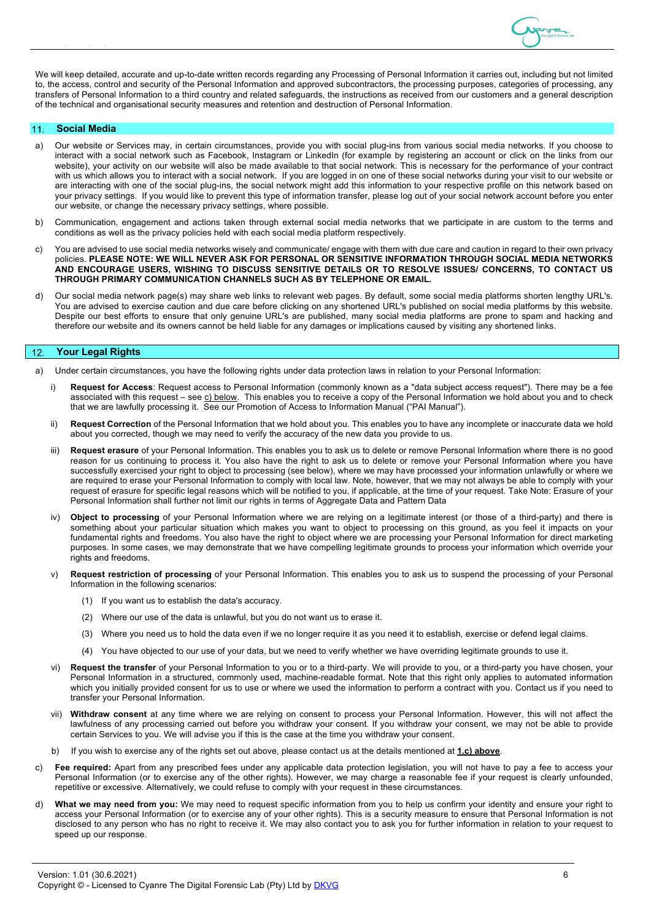

We will keep detailed, accurate and up-to-date written records regarding any Processing of Personal Information it carries out, including but not limited to, the access, control and security of the Personal Information and approved subcontractors, the processing purposes, categories of processing, any transfers of Personal Information to a third country and related safeguards, the instructions as received from our customers and a general description of the technical and organisational security measures and retention and destruction of Personal Information.

### **Social Media**  $11.$

- a) Our website or Services may, in certain circumstances, provide you with social plug-ins from various social media networks. If you choose to interact with a social network such as Facebook, Instagram or LinkedIn (for example by registering an account or click on the links from our website), your activity on our website will also be made available to that social network. This is necessary for the performance of your contract with us which allows you to interact with a social network. If you are logged in on one of these social networks during your visit to our website or are interacting with one of the social plug-ins, the social network might add this information to your respective profile on this network based on your privacy settings. If you would like to prevent this type of information transfer, please log out of your social network account before you enter our website, or change the necessary privacy settings, where possible.
- b) Communication, engagement and actions taken through external social media networks that we participate in are custom to the terms and conditions as well as the privacy policies held with each social media platform respectively.
- c) You are advised to use social media networks wisely and communicate/ engage with them with due care and caution in regard to their own privacy policies. **PLEASE NOTE: WE WILL NEVER ASK FOR PERSONAL OR SENSITIVE INFORMATION THROUGH SOCIAL MEDIA NETWORKS AND ENCOURAGE USERS, WISHING TO DISCUSS SENSITIVE DETAILS OR TO RESOLVE ISSUES/ CONCERNS, TO CONTACT US THROUGH PRIMARY COMMUNICATION CHANNELS SUCH AS BY TELEPHONE OR EMAIL.**
- d) Our social media network page(s) may share web links to relevant web pages. By default, some social media platforms shorten lengthy URL's. You are advised to exercise caution and due care before clicking on any shortened URL's published on social media platforms by this website. Despite our best efforts to ensure that only genuine URL's are published, many social media platforms are prone to spam and hacking and therefore our website and its owners cannot be held liable for any damages or implications caused by visiting any shortened links.

### $12.$ **Your Legal Rights**

- a) Under certain circumstances, you have the following rights under data protection laws in relation to your Personal Information:
	- i) **Request for Access**: Request access to Personal Information (commonly known as a "data subject access request"). There may be a fee associated with this request – see c) below. This enables you to receive a copy of the Personal Information we hold about you and to check that we are lawfully processing it. See our Promotion of Access to Information Manual ("PAI Manual").
	- ii) **Request Correction** of the Personal Information that we hold about you. This enables you to have any incomplete or inaccurate data we hold about you corrected, though we may need to verify the accuracy of the new data you provide to us.
	- Request erasure of your Personal Information. This enables you to ask us to delete or remove Personal Information where there is no good reason for us continuing to process it. You also have the right to ask us to delete or remove your Personal Information where you have successfully exercised your right to object to processing (see below), where we may have processed your information unlawfully or where we are required to erase your Personal Information to comply with local law. Note, however, that we may not always be able to comply with your request of erasure for specific legal reasons which will be notified to you, if applicable, at the time of your request. Take Note: Erasure of your Personal Information shall further not limit our rights in terms of Aggregate Data and Pattern Data
	- iv) **Object to processing** of your Personal Information where we are relying on a legitimate interest (or those of a third-party) and there is something about your particular situation which makes you want to object to processing on this ground, as you feel it impacts on your fundamental rights and freedoms. You also have the right to object where we are processing your Personal Information for direct marketing purposes. In some cases, we may demonstrate that we have compelling legitimate grounds to process your information which override your rights and freedoms.
	- Request restriction of processing of your Personal Information. This enables you to ask us to suspend the processing of your Personal Information in the following scenarios:
		- (1) If you want us to establish the data's accuracy.
		- (2) Where our use of the data is unlawful, but you do not want us to erase it.
		- (3) Where you need us to hold the data even if we no longer require it as you need it to establish, exercise or defend legal claims.
		- (4) You have objected to our use of your data, but we need to verify whether we have overriding legitimate grounds to use it.
	- vi) **Request the transfer** of your Personal Information to you or to a third-party. We will provide to you, or a third-party you have chosen, your Personal Information in a structured, commonly used, machine-readable format. Note that this right only applies to automated information which you initially provided consent for us to use or where we used the information to perform a contract with you. Contact us if you need to transfer your Personal Information.
	- vii) **Withdraw consent** at any time where we are relying on consent to process your Personal Information. However, this will not affect the lawfulness of any processing carried out before you withdraw your consent. If you withdraw your consent, we may not be able to provide certain Services to you. We will advise you if this is the case at the time you withdraw your consent.
	- b) If you wish to exercise any of the rights set out above, please contact us at the details mentioned at **1.c) above**.
- c) **Fee required:** Apart from any prescribed fees under any applicable data protection legislation, you will not have to pay a fee to access your Personal Information (or to exercise any of the other rights). However, we may charge a reasonable fee if your request is clearly unfounded, repetitive or excessive. Alternatively, we could refuse to comply with your request in these circumstances.
- d) **What we may need from you:** We may need to request specific information from you to help us confirm your identity and ensure your right to access your Personal Information (or to exercise any of your other rights). This is a security measure to ensure that Personal Information is not disclosed to any person who has no right to receive it. We may also contact you to ask you for further information in relation to your request to speed up our response.